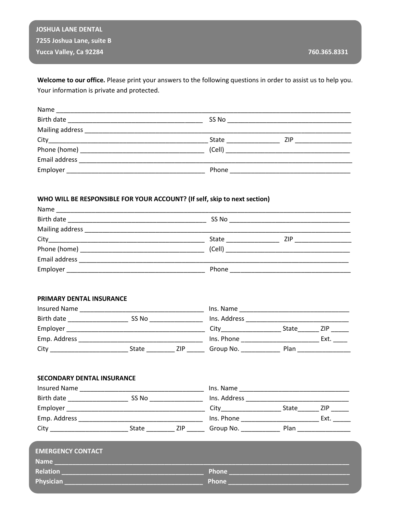**JOSHUA LANE DENTAL** 7255 Joshua Lane, suite B Yucca Valley, Ca 92284

**Relation** 

Physician.

Welcome to our office. Please print your answers to the following questions in order to assist us to help you. Your information is private and protected.

| Name          |       |                                    |  |
|---------------|-------|------------------------------------|--|
| Birth date    |       | SS No ____________________________ |  |
|               |       |                                    |  |
|               | State | ZIP                                |  |
|               |       |                                    |  |
| Email address |       |                                    |  |
| Employer      | Phone |                                    |  |

## WHO WILL BE RESPONSIBLE FOR YOUR ACCOUNT? (If self, skip to next section)

| PRIMARY DENTAL INSURANCE                                                                                       |  |  |  |  |  |  |
|----------------------------------------------------------------------------------------------------------------|--|--|--|--|--|--|
|                                                                                                                |  |  |  |  |  |  |
|                                                                                                                |  |  |  |  |  |  |
|                                                                                                                |  |  |  |  |  |  |
|                                                                                                                |  |  |  |  |  |  |
| City _______________________________State _______________ZIP __________Group No. _____________________________ |  |  |  |  |  |  |
| <b>SECONDARY DENTAL INSURANCE</b>                                                                              |  |  |  |  |  |  |
|                                                                                                                |  |  |  |  |  |  |
|                                                                                                                |  |  |  |  |  |  |
|                                                                                                                |  |  |  |  |  |  |
|                                                                                                                |  |  |  |  |  |  |
|                                                                                                                |  |  |  |  |  |  |
|                                                                                                                |  |  |  |  |  |  |

Phone

Phone \_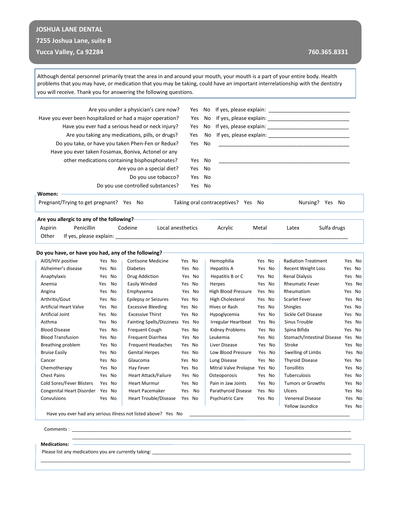# **JOSHUA LANE DENTAL**

### **7255 Joshua Lane, suite B**

### **Yucca Valley, Ca 92284 760.365.8331**

Yellow Jaundice Yes No

Although dental personnel primarily treat the area in and around your mouth, your mouth is a part of your entire body. Health problems that you may have, or medication that you may be taking, could have an important interrelationship with the dentistry you will receive. Thank you for answering the following questions.

|                                                     |                                                               |                                                                        | Are you under a physician's care now?            | Yes       | No        |                                    |        |                           |                            |        |        |
|-----------------------------------------------------|---------------------------------------------------------------|------------------------------------------------------------------------|--------------------------------------------------|-----------|-----------|------------------------------------|--------|---------------------------|----------------------------|--------|--------|
|                                                     |                                                               | Have you ever been hospitalized or had a major operation?<br>Yes<br>No |                                                  |           |           |                                    |        |                           |                            |        |        |
|                                                     | Have you ever had a serious head or neck injury?<br>Yes<br>No |                                                                        |                                                  |           |           |                                    |        |                           |                            |        |        |
|                                                     |                                                               |                                                                        | Are you taking any medications, pills, or drugs? |           | Yes<br>No |                                    |        |                           |                            |        |        |
|                                                     | Do you take, or have you taken Phen-Fen or Redux?             |                                                                        | Yes                                              | No        |           |                                    |        |                           |                            |        |        |
| Have you ever taken Fosamax, Boniva, Actonel or any |                                                               |                                                                        |                                                  |           |           |                                    |        |                           |                            |        |        |
|                                                     | other medications containing bisphosphonates?                 |                                                                        | Yes                                              | <b>No</b> |           |                                    |        |                           |                            |        |        |
|                                                     |                                                               |                                                                        | Are you on a special diet?                       | Yes       | No        |                                    |        |                           |                            |        |        |
|                                                     |                                                               |                                                                        | Do you use tobacco?                              | Yes       | No        |                                    |        |                           |                            |        |        |
|                                                     |                                                               |                                                                        | Do you use controlled substances?                |           | No        |                                    |        |                           |                            |        |        |
|                                                     |                                                               |                                                                        |                                                  | Yes       |           |                                    |        |                           |                            |        |        |
| Women:                                              |                                                               |                                                                        |                                                  |           |           |                                    |        |                           |                            |        |        |
| Pregnant/Trying to get pregnant? Yes No             |                                                               |                                                                        |                                                  |           |           | Taking oral contraceptives? Yes No |        |                           | Nursing? Yes No            |        |        |
| Are you allergic to any of the following?           |                                                               |                                                                        |                                                  |           |           |                                    |        |                           |                            |        |        |
| Penicillin<br>Aspirin                               |                                                               |                                                                        | Codeine<br>Local anesthetics                     |           |           | Acrylic                            | Metal  | Latex                     | Sulfa drugs                |        |        |
| Other<br>If yes, please explain:                    |                                                               |                                                                        |                                                  |           |           |                                    |        |                           |                            |        |        |
|                                                     |                                                               |                                                                        |                                                  |           |           |                                    |        |                           |                            |        |        |
| Do you have, or have you had, any of the following? |                                                               |                                                                        |                                                  |           |           |                                    |        |                           |                            |        |        |
| AIDS/HIV positive                                   | Yes No                                                        |                                                                        | <b>Cortisone Medicine</b>                        | Yes No    |           | Hemophilia                         | Yes No |                           | <b>Radiation Treatment</b> |        | Yes No |
| Alzheimer's disease                                 | Yes No                                                        |                                                                        | <b>Diabetes</b>                                  | Yes No    |           | <b>Hepatitis A</b>                 | Yes No | <b>Recent Weight Loss</b> |                            | Yes No |        |
| Anaphylaxis                                         | Yes No                                                        |                                                                        | Drug Addiction                                   | Yes No    |           | Hepatitis B or C                   | Yes No | <b>Renal Dialysis</b>     |                            |        | Yes No |
| Anemia                                              | Yes No                                                        |                                                                        | Easily Winded                                    | Yes No    |           | Herpes                             | Yes No | <b>Rheumatic Fever</b>    |                            |        | Yes No |
| Angina                                              | Yes No                                                        |                                                                        | Emphysema                                        | Yes No    |           | High Blood Pressure                | Yes No | Rheumatism                |                            | Yes No |        |
| Arthritis/Gout                                      | Yes No                                                        |                                                                        | <b>Epilepsy or Seizures</b>                      | Yes No    |           | <b>High Cholesterol</b>            | Yes No | <b>Scarlet Fever</b>      |                            |        | Yes No |
| <b>Artificial Heart Valve</b>                       | Yes                                                           | No                                                                     | <b>Excessive Bleeding</b>                        | Yes No    |           | Hives or Rash                      | Yes No | Shingles                  |                            | Yes No |        |
| Artificial Joint                                    | Yes                                                           | No                                                                     | <b>Excessive Thirst</b>                          | Yes No    |           | Hypoglycemia                       | Yes No | Sickle Cell Disease       |                            |        | Yes No |
| Asthma                                              | Yes                                                           | No                                                                     | Fainting Spells/Dizziness Yes No                 |           |           | Irregular Heartbeat                | Yes No | Sinus Trouble             |                            |        | Yes No |
| <b>Blood Disease</b>                                | Yes                                                           | No                                                                     | Frequent Cough                                   | Yes No    |           | Kidney Problems                    | Yes No | Spina Bifida              |                            | Yes No |        |
| <b>Blood Transfusion</b>                            | Yes No                                                        |                                                                        | Frequent Diarrhea                                | Yes No    |           | Leukemia                           | Yes No |                           | Stomach/Intestinal Disease | Yes No |        |
| Breathing problem                                   | Yes No                                                        |                                                                        | <b>Frequent Headaches</b>                        | Yes No    |           | Liver Disease                      | Yes No | Stroke                    |                            |        | Yes No |
| <b>Bruise Easily</b>                                | Yes No                                                        |                                                                        | <b>Genital Herpes</b>                            | Yes No    |           | Low Blood Pressure                 | Yes No | Swelling of Limbs         |                            |        | Yes No |
| Cancer                                              | Yes No                                                        |                                                                        | Glaucoma                                         | Yes No    |           | Lung Disease                       | Yes No | <b>Thyroid Disease</b>    |                            | Yes No |        |
| Chemotherapy                                        | Yes No                                                        |                                                                        | Hay Fever                                        | Yes No    |           | Mitral Valve Prolapse Yes No       |        | Tonsillitis               |                            |        | Yes No |
| <b>Chest Pains</b>                                  | Yes No                                                        |                                                                        | Heart Attack/Failure                             | Yes No    |           | Osteoporosis                       | Yes No | Tuberculosis              |                            |        | Yes No |
| Cold Sores/Fever Blisters                           | Yes No                                                        |                                                                        | <b>Heart Murmur</b>                              | Yes No    |           | Pain in Jaw Joints                 | Yes No | <b>Tumors or Growths</b>  |                            |        | Yes No |
| Congenital Heart Disorder Yes No                    |                                                               |                                                                        | <b>Heart Pacemaker</b>                           | Yes No    |           | Parathyroid Disease                | Yes No | Ulcers                    |                            |        | Yes No |
| Convulsions                                         | Yes No                                                        |                                                                        | Heart Trouble/Disease                            | Yes No    |           | Psychiatric Care                   | Yes No | <b>Venereal Disease</b>   |                            |        | Yes No |

 $\overline{\phantom{a}}$  ,  $\overline{\phantom{a}}$  ,  $\overline{\phantom{a}}$  ,  $\overline{\phantom{a}}$  ,  $\overline{\phantom{a}}$  ,  $\overline{\phantom{a}}$  ,  $\overline{\phantom{a}}$  ,  $\overline{\phantom{a}}$  ,  $\overline{\phantom{a}}$  ,  $\overline{\phantom{a}}$  ,  $\overline{\phantom{a}}$  ,  $\overline{\phantom{a}}$  ,  $\overline{\phantom{a}}$  ,  $\overline{\phantom{a}}$  ,  $\overline{\phantom{a}}$  ,  $\overline{\phantom{a}}$ 

\_\_\_\_\_\_\_\_\_\_\_\_\_\_\_\_\_\_\_\_\_\_\_\_\_\_\_\_\_\_\_\_\_\_\_\_\_\_\_\_\_\_\_\_\_\_\_\_\_\_\_\_\_\_\_\_\_\_\_\_\_\_\_\_\_\_\_\_\_\_\_\_\_\_\_\_\_\_\_\_\_\_\_\_\_\_\_\_\_\_\_\_\_\_\_\_\_\_\_\_\_\_\_\_\_\_\_\_\_\_\_\_\_\_\_\_\_\_\_\_

Have you ever had any serious illness not listed above? Yes No \_\_\_\_\_\_\_\_\_\_\_\_\_\_\_\_\_\_\_\_\_\_\_\_\_\_\_\_\_\_\_\_\_\_\_\_\_\_\_\_\_\_\_\_\_\_\_\_\_\_\_\_\_\_\_\_\_\_\_\_\_\_

 $\mathsf{Comments}: \ \_{} \_{} \_{} \_{} \_{} \_{}$ 

#### **Medications:**

Please list any medications you are currently taking: \_\_\_\_\_\_\_\_\_\_\_\_\_\_\_\_\_\_\_\_\_\_\_\_\_\_\_\_\_\_\_\_\_\_\_\_\_\_\_\_\_\_\_\_\_\_\_\_\_\_\_\_\_\_\_\_\_\_\_\_\_\_\_\_\_\_\_\_\_\_\_\_\_\_\_\_\_